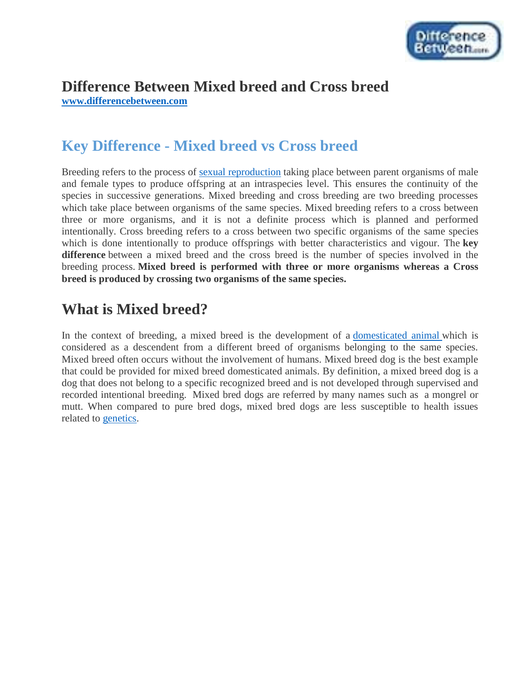

# **Difference Between Mixed breed and Cross breed**

**[www.differencebetween.com](http://www.differencebetween.com/)**

# **Key Difference - Mixed breed vs Cross breed**

Breeding refers to the process of [sexual reproduction](http://www.differencebetween.com/difference-between-sexual-and-vs-asexual-reproduction/) taking place between parent organisms of male and female types to produce offspring at an intraspecies level. This ensures the continuity of the species in successive generations. Mixed breeding and cross breeding are two breeding processes which take place between organisms of the same species. Mixed breeding refers to a cross between three or more organisms, and it is not a definite process which is planned and performed intentionally. Cross breeding refers to a cross between two specific organisms of the same species which is done intentionally to produce offsprings with better characteristics and vigour. The **key difference** between a mixed breed and the cross breed is the number of species involved in the breeding process. **Mixed breed is performed with three or more organisms whereas a Cross breed is produced by crossing two organisms of the same species.**

# **What is Mixed breed?**

In the context of breeding, a mixed breed is the development of a [domesticated animal](http://www.differencebetween.com/difference-between-wild-animals-and-vs-domestic-animals/) which is considered as a descendent from a different breed of organisms belonging to the same species. Mixed breed often occurs without the involvement of humans. Mixed breed dog is the best example that could be provided for mixed breed domesticated animals. By definition, a mixed breed dog is a dog that does not belong to a specific recognized breed and is not developed through supervised and recorded intentional breeding. Mixed bred dogs are referred by many names such as a mongrel or mutt. When compared to pure bred dogs, mixed bred dogs are less susceptible to health issues related to [genetics.](http://www.differencebetween.com/difference-between-genetics-and-vs-epigenetics/#Genetics)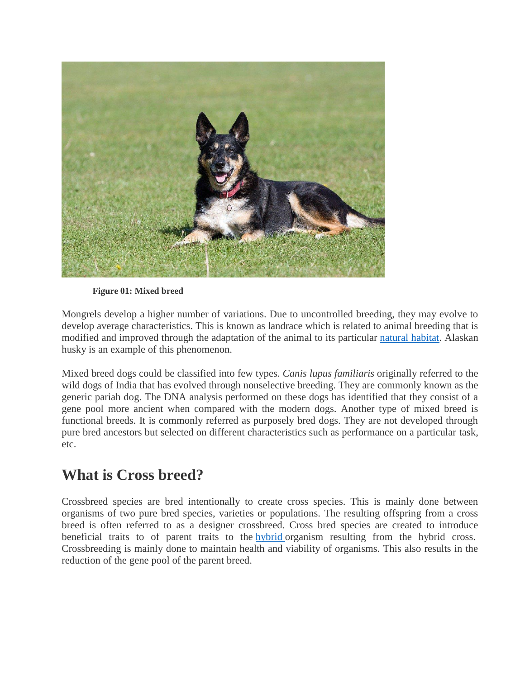

**Figure 01: Mixed breed**

Mongrels develop a higher number of variations. Due to uncontrolled breeding, they may evolve to develop average characteristics. This is known as landrace which is related to animal breeding that is modified and improved through the adaptation of the animal to its particular [natural habitat.](http://www.differencebetween.com/difference-between-habitat-and-vs-environment/) Alaskan husky is an example of this phenomenon.

Mixed breed dogs could be classified into few types. *Canis lupus familiaris* originally referred to the wild dogs of India that has evolved through nonselective breeding. They are commonly known as the generic pariah dog. The DNA analysis performed on these dogs has identified that they consist of a gene pool more ancient when compared with the modern dogs. Another type of mixed breed is functional breeds. It is commonly referred as purposely bred dogs. They are not developed through pure bred ancestors but selected on different characteristics such as performance on a particular task, etc.

# **What is Cross breed?**

Crossbreed species are bred intentionally to create cross species. This is mainly done between organisms of two pure bred species, varieties or populations. The resulting offspring from a cross breed is often referred to as a designer crossbreed. Cross bred species are created to introduce beneficial traits to of parent traits to the [hybrid](http://www.differencebetween.com/difference-between-gmo-and-vs-hybrid/#ef) organism resulting from the hybrid cross. Crossbreeding is mainly done to maintain health and viability of organisms. This also results in the reduction of the gene pool of the parent breed.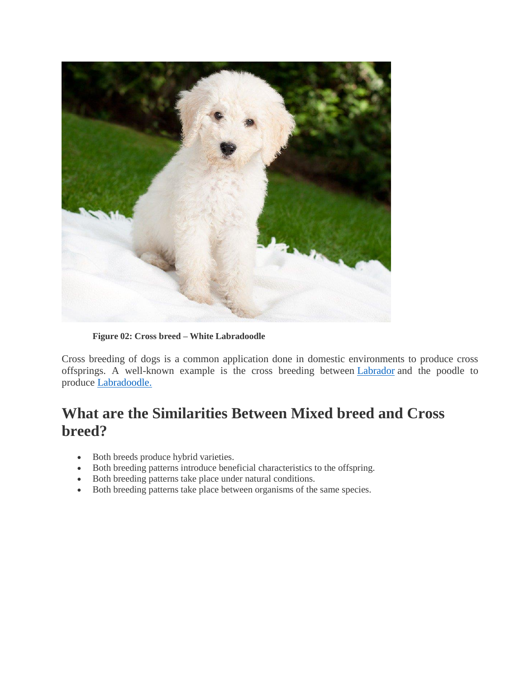

**Figure 02: Cross breed – White Labradoodle**

Cross breeding of dogs is a common application done in domestic environments to produce cross offsprings. A well-known example is the cross breeding between [Labrador](http://www.differencebetween.com/difference-between-labrador-and-vs-labrador-retriever/) and the poodle to produce [Labradoodle.](http://www.differencebetween.com/difference-between-labradoodle-and-vs-goldendoodle/)

# **What are the Similarities Between Mixed breed and Cross breed?**

- Both breeds produce hybrid varieties.
- Both breeding patterns introduce beneficial characteristics to the offspring.
- Both breeding patterns take place under natural conditions.
- Both breeding patterns take place between organisms of the same species.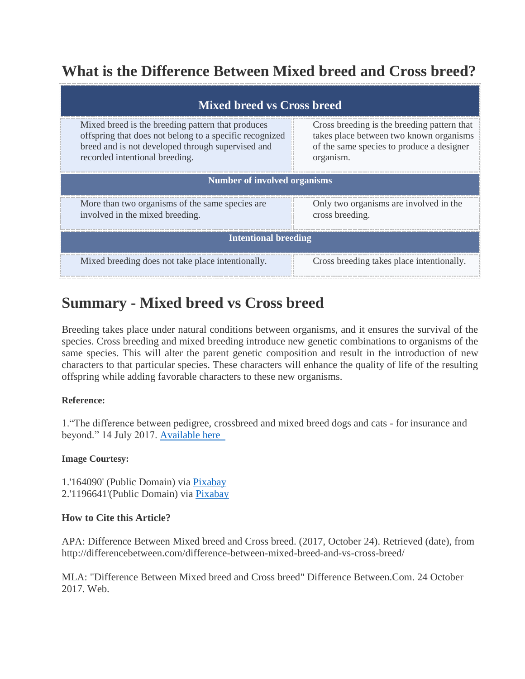# **What is the Difference Between Mixed breed and Cross breed?**

| <b>Mixed breed vs Cross breed</b>                                                                                                                                                                   |                                                                                                                                                  |
|-----------------------------------------------------------------------------------------------------------------------------------------------------------------------------------------------------|--------------------------------------------------------------------------------------------------------------------------------------------------|
| Mixed breed is the breeding pattern that produces<br>offspring that does not belong to a specific recognized<br>breed and is not developed through supervised and<br>recorded intentional breeding. | Cross breeding is the breeding pattern that<br>takes place between two known organisms<br>of the same species to produce a designer<br>organism. |
| <b>Number of involved organisms</b>                                                                                                                                                                 |                                                                                                                                                  |
| More than two organisms of the same species are.<br>involved in the mixed breeding.                                                                                                                 | Only two organisms are involved in the<br>cross breeding.                                                                                        |
| <b>Intentional breeding</b>                                                                                                                                                                         |                                                                                                                                                  |
| Mixed breeding does not take place intentionally.                                                                                                                                                   | Cross breeding takes place intentionally.                                                                                                        |

# **Summary - Mixed breed vs Cross breed**

Breeding takes place under natural conditions between organisms, and it ensures the survival of the species. Cross breeding and mixed breeding introduce new genetic combinations to organisms of the same species. This will alter the parent genetic composition and result in the introduction of new characters to that particular species. These characters will enhance the quality of life of the resulting offspring while adding favorable characters to these new organisms.

### **Reference:**

1."The difference between pedigree, crossbreed and mixed breed dogs and cats - for insurance and beyond." 14 July 2017. [Available here](http://boughtbymany.com/news/article/difference-between-pedigree-mixed-breed-crossbreed/) 

### **Image Courtesy:**

1.'164090' (Public Domain) via [Pixabay](https://pixabay.com/en/dog-mongrel-mixed-breed-canine-pet-164090/) 2.'1196641'(Public Domain) via [Pixabay](https://pixabay.com/en/dog-puppy-labradoodle-white-1196641/)

### **How to Cite this Article?**

APA: Difference Between Mixed breed and Cross breed. (2017, October 24). Retrieved (date), from http://differencebetween.com/difference-between-mixed-breed-and-vs-cross-breed/

MLA: "Difference Between Mixed breed and Cross breed" Difference Between.Com. 24 October 2017. Web.